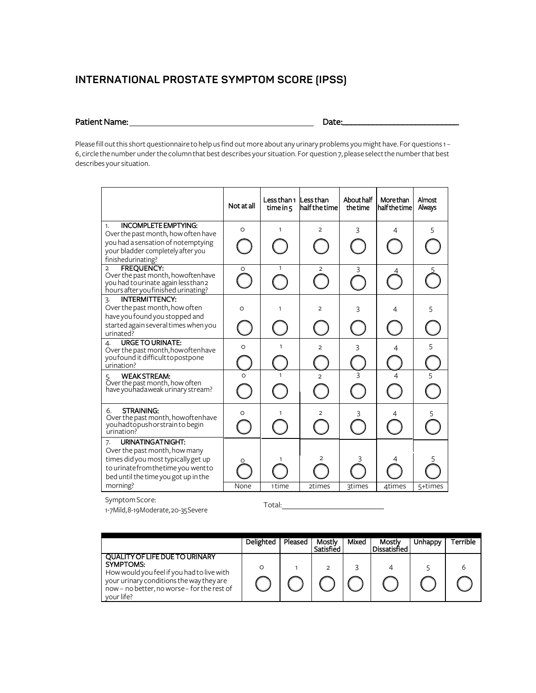# **INTERNATIONAL PROSTATE SYMPTOM SCORE (IPSS)**

### Patient Name: 1.2 Date:

Please fill out this short questionnaire to help us find out more about any urinary problems you might have. For questions 1-6, circle the number under the column that best describes your situation. For question7, please select the number that best describes your situation.

|                                                                                                                                                                                               | Not at all | Less than 1<br>time in 5 | Less than<br>lhalf the time | About half<br>the time | More than<br>half the time | Almost<br>Always |
|-----------------------------------------------------------------------------------------------------------------------------------------------------------------------------------------------|------------|--------------------------|-----------------------------|------------------------|----------------------------|------------------|
| <b>INCOMPLETE EMPTYING:</b><br>1.<br>Over the past month, how often have<br>you had a sensation of notemptying<br>your bladder completely after you<br>finishedurinating?                     | $\circ$    | $\mathbf{1}$             | $\overline{2}$              | 3                      | 4                          | 5                |
| <b>FREQUENCY:</b><br>$\overline{2}$<br>Over the past month, howoftenhave<br>you had to urinate again less than 2<br>hours after you finished urinating?                                       | O          | 1                        | $\overline{2}$              | 3                      |                            |                  |
| <b>INTERMITTENCY:</b><br>3.<br>Over the past month, how often<br>have you found you stopped and<br>started again several times when you<br>urinated?                                          | O          | 1                        | $\overline{2}$              | 3                      | 4                          | 5                |
| <b>URGE TO URINATE:</b><br>4.<br>Over the past month, how often have<br>you found it difficult to postpone<br>urination?                                                                      | $\circ$    | 1                        | $\overline{2}$              | 3                      | 4                          | 5                |
| <b>WEAKSTREAM:</b><br>5. WEAK SIREAM:<br>Over the past month, how often<br>have youhadaweak urinary stream?                                                                                   | $\circ$    |                          | $\mathcal{P}$               | 3                      | 4                          |                  |
| <b>STRAINING:</b><br>6.<br>Over the past month, how often have<br>you had to push or strain to begin<br>urination?                                                                            | O          | 1                        | $\overline{2}$              | 3                      |                            | 5                |
| URINATING AT NIGHT:<br>7.<br>Over the past month, how many<br>times did you most typically get up<br>to urinate from the time you went to<br>bed until the time you got up in the<br>morning? | O<br>None  | 1 time                   | 2<br>2times                 | <b>3times</b>          | 4times                     | 5+times          |

Symptom Score:

1-7 Mild, 8-19Moderate, 20-35Severe Total:

|                                                                                                                                                                                                           | Delighted | Pleased | Mostlv<br>Sarisfied | Mixed | Mostlv<br>l Dissatisfied | Unhappy | Terrible |
|-----------------------------------------------------------------------------------------------------------------------------------------------------------------------------------------------------------|-----------|---------|---------------------|-------|--------------------------|---------|----------|
| <b>QUALITY OF LIFE DUE TO URINARY</b><br>SYMPTOMS:<br>How would you feel if you had to live with<br>your urinary conditions the way they are<br>now - no better, no worse - for the rest of<br>vour life? |           |         |                     |       |                          |         |          |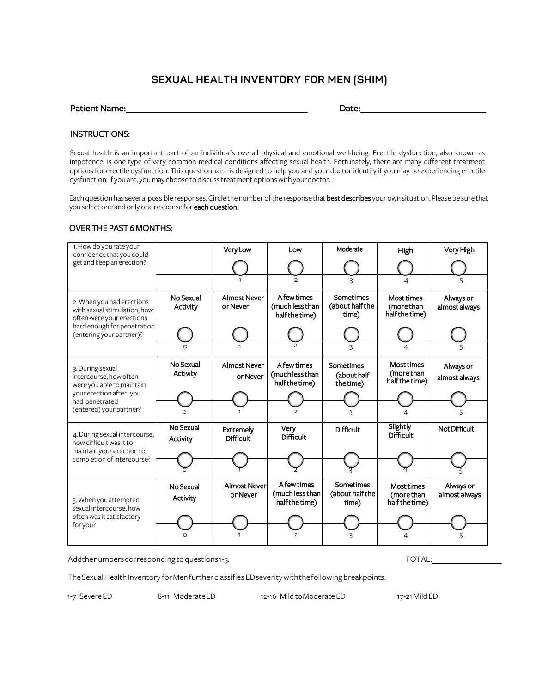## **SEXUAL HEALTH INVENTORY FOR MEN (SHIM)**

| <b>Patient Name:</b> | Date: |
|----------------------|-------|
|                      |       |

#### INSTRUCTIONS:

Sexual health is an important part of an individual's overall physical and emotional well-being. Erectile dysfunction, also known as impotence, is one type of very common medical conditions affecting sexual health. Fortunately, there are many different treatment options for erectile dysfunction. This questionnaire is designed to help you and your doctor identify if you may be experiencing erectile dysfunction. If you are, you may choose to discuss treatment options with your doctor.

Each question has several possible responses. Circle the number of the response that best describes your own situation. Please be sure that you select one and only one response for each question.

#### OVER THE PAST 6 MONTHS:

| 1. How do you rate your<br>confidence that you could                                   |                              | <b>Very Low</b>                      | Low                                              | Moderate                              | High                                              | Very High                  |
|----------------------------------------------------------------------------------------|------------------------------|--------------------------------------|--------------------------------------------------|---------------------------------------|---------------------------------------------------|----------------------------|
| get and keep an erection?                                                              |                              |                                      |                                                  |                                       |                                                   |                            |
|                                                                                        |                              |                                      | $\overline{2}$                                   |                                       | 4                                                 |                            |
| 2. When you had erections<br>with sexual stimulation, how<br>often were your erections | No Sexual<br><b>Activity</b> | <b>Almost Never</b><br>or Never      | A few times<br>(much less than<br>half the time) | Sometimes<br>(about half the<br>time) | Most times<br>(more than<br>half the time)        | Always or<br>almost always |
| hard enough for penetration<br>(entering your partner)?                                |                              |                                      |                                                  |                                       |                                                   |                            |
|                                                                                        | ∩                            |                                      |                                                  | 3                                     |                                                   |                            |
| 3. During sexual<br>intercourse, how often<br>were you able to maintain                | No Sexual<br>Activity        | <b>Almost Never</b><br>or Never      | A few times<br>(much less than<br>half the time) | Sometimes<br>(about half<br>the time) | <b>Most times</b><br>(more than<br>half the time) | Always or<br>almost always |
| your erection after you<br>had penetrated                                              |                              |                                      |                                                  |                                       |                                                   |                            |
| (entered) your partner?                                                                | $\Omega$                     |                                      |                                                  |                                       |                                                   |                            |
| 4. During sexual intercourse,<br>how difficult was it to                               | No Sexual<br>Activity        | <b>Extremely</b><br><b>Difficult</b> | Very<br><b>Difficult</b>                         | <b>Difficult</b>                      | Slightly<br><b>Difficult</b>                      | Not Difficult              |
| maintain your erection to<br>completion of intercourse?                                |                              |                                      |                                                  |                                       |                                                   |                            |
|                                                                                        |                              |                                      |                                                  |                                       |                                                   |                            |
| 5. When you attempted<br>sexual intercourse, how                                       | No Sexual<br><b>Activity</b> | Almost Never<br>or Never             | A few times<br>(much less than<br>half the time) | Sometimes<br>(about half the<br>time) | Most times<br>(more than<br>half the time)        | Always or<br>almost always |
| often was it satisfactory<br>for you?                                                  | ∩                            |                                      |                                                  |                                       |                                                   |                            |

Addthenumbers corresponding to questions 1-5. TOTAL: TOTAL: TOTAL:

The Sexual Health Inventory for Men further classifies ED severity with the following breakpoints:

1-7 SevereED 8-11 ModerateED 12-16 Mild toModerate ED 17-21 Mild ED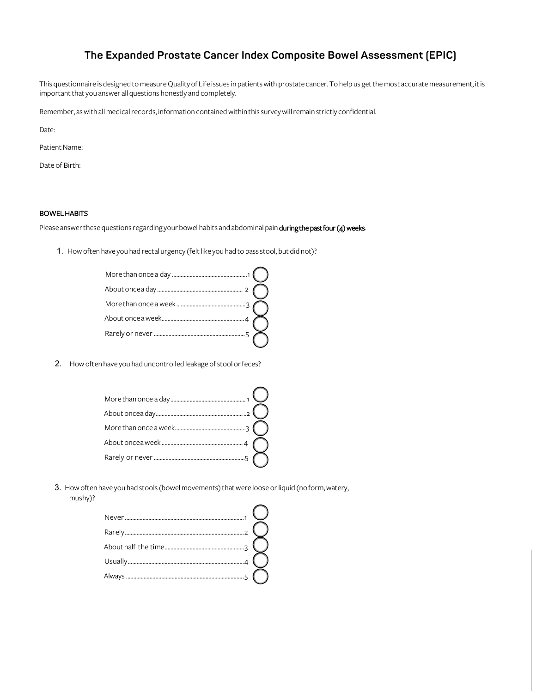## **The Expanded Prostate Cancer Index Composite Bowel Assessment (EPIC)**

This questionnaire is designed to measure Quality of Life issues in patients with prostate cancer. To help us get the most accurate measurement, it is important that you answer all questions honestly and completely.

Remember, as with allmedical records, information contained within this survey will remain strictly confidential.

Date:

Patient Name:

Date of Birth:

#### BOWEL HABITS

Please answer these questions regarding your bowel habits and abdominal pain during the past four (4) weeks.

1. How often have you had rectal urgency (felt like you had to passstool, but did not)?

2. How often have you had uncontrolled leakage of stool or feces?

3. How often have you had stools (bowel movements) that were loose or liquid (no form, watery, mushy)?

| $\overline{2}$ |  |
|----------------|--|
|                |  |
|                |  |
|                |  |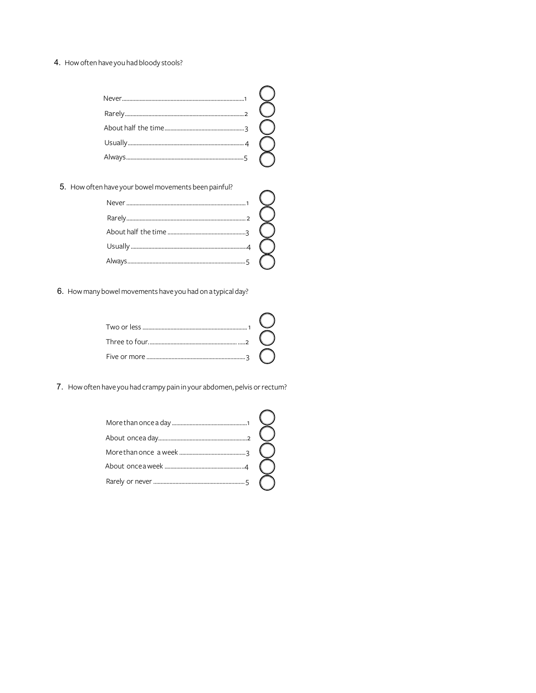4. How often have you had bloody stools?

5. How often have your bowel movements been painful?

6. How many bowel movements have you had on a typical day?

7. How often have you had crampy pain in your abdomen, pelvis or rectum?